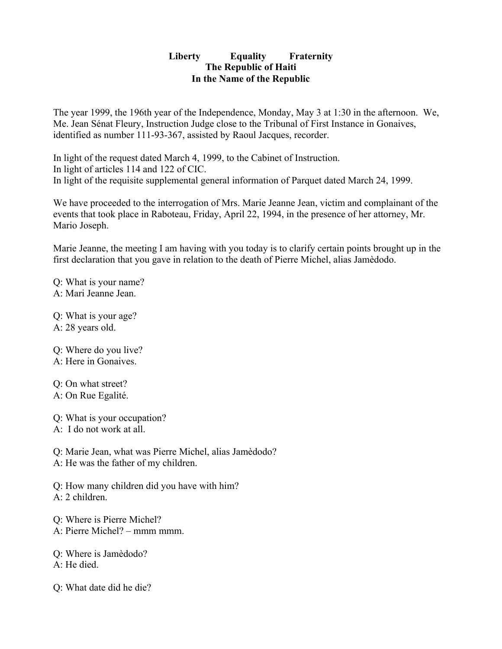## **Liberty Equality Fraternity The Republic of Haiti In the Name of the Republic**

The year 1999, the 196th year of the Independence, Monday, May 3 at 1:30 in the afternoon. We, Me. Jean Sénat Fleury, Instruction Judge close to the Tribunal of First Instance in Gonaives, identified as number 111-93-367, assisted by Raoul Jacques, recorder.

In light of the request dated March 4, 1999, to the Cabinet of Instruction. In light of articles 114 and 122 of CIC. In light of the requisite supplemental general information of Parquet dated March 24, 1999.

We have proceeded to the interrogation of Mrs. Marie Jeanne Jean, victim and complainant of the events that took place in Raboteau, Friday, April 22, 1994, in the presence of her attorney, Mr. Mario Joseph.

Marie Jeanne, the meeting I am having with you today is to clarify certain points brought up in the first declaration that you gave in relation to the death of Pierre Michel, alias Jamèdodo.

Q: What is your name? A: Mari Jeanne Jean.

Q: What is your age? A: 28 years old.

Q: Where do you live? A: Here in Gonaives.

Q: On what street? A: On Rue Egalité.

Q: What is your occupation? A: I do not work at all.

Q: Marie Jean, what was Pierre Michel, alias Jamèdodo? A: He was the father of my children.

Q: How many children did you have with him? A: 2 children.

Q: Where is Pierre Michel? A: Pierre Michel? – mmm mmm.

Q: Where is Jamèdodo? A: He died.

Q: What date did he die?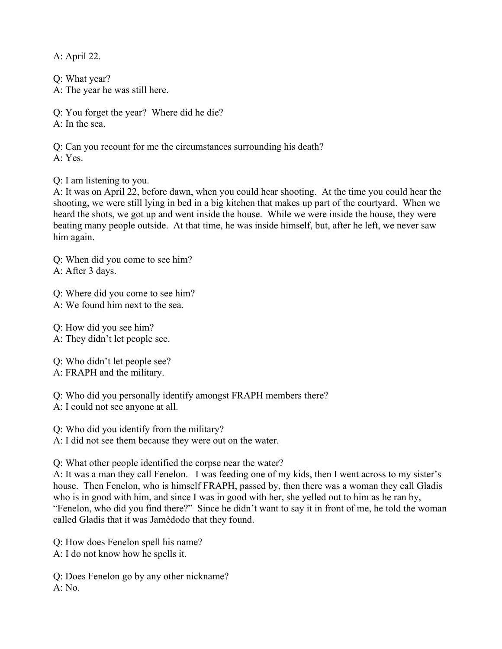A: April 22.

Q: What year? A: The year he was still here.

Q: You forget the year? Where did he die?  $A \cdot In$  the sea.

Q: Can you recount for me the circumstances surrounding his death? A: Yes.

Q: I am listening to you.

A: It was on April 22, before dawn, when you could hear shooting. At the time you could hear the shooting, we were still lying in bed in a big kitchen that makes up part of the courtyard. When we heard the shots, we got up and went inside the house. While we were inside the house, they were beating many people outside. At that time, he was inside himself, but, after he left, we never saw him again.

Q: When did you come to see him?

A: After 3 days.

Q: Where did you come to see him?

A: We found him next to the sea.

Q: How did you see him? A: They didn't let people see.

Q: Who didn't let people see?

A: FRAPH and the military.

Q: Who did you personally identify amongst FRAPH members there?

A: I could not see anyone at all.

Q: Who did you identify from the military?

A: I did not see them because they were out on the water.

Q: What other people identified the corpse near the water?

A: It was a man they call Fenelon. I was feeding one of my kids, then I went across to my sister's house. Then Fenelon, who is himself FRAPH, passed by, then there was a woman they call Gladis who is in good with him, and since I was in good with her, she yelled out to him as he ran by, "Fenelon, who did you find there?" Since he didn't want to say it in front of me, he told the woman called Gladis that it was Jamèdodo that they found.

Q: How does Fenelon spell his name?

A: I do not know how he spells it.

Q: Does Fenelon go by any other nickname? A: No.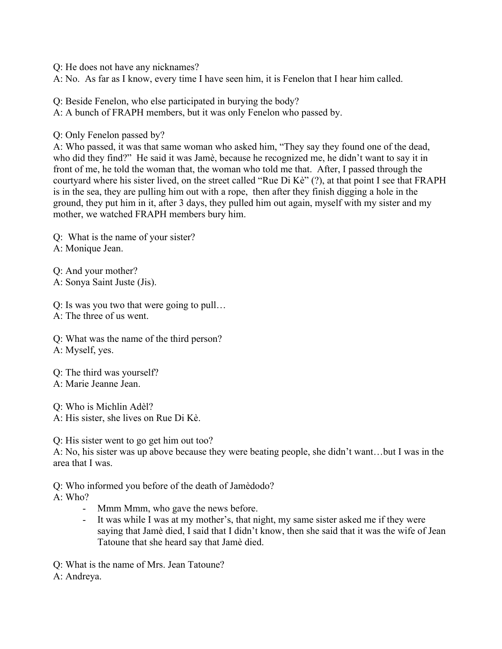Q: He does not have any nicknames?

A: No. As far as I know, every time I have seen him, it is Fenelon that I hear him called.

Q: Beside Fenelon, who else participated in burying the body?

A: A bunch of FRAPH members, but it was only Fenelon who passed by.

Q: Only Fenelon passed by?

A: Who passed, it was that same woman who asked him, "They say they found one of the dead, who did they find?" He said it was Jamè, because he recognized me, he didn't want to say it in front of me, he told the woman that, the woman who told me that. After, I passed through the courtyard where his sister lived, on the street called "Rue Di Kè" (?), at that point I see that FRAPH is in the sea, they are pulling him out with a rope, then after they finish digging a hole in the ground, they put him in it, after 3 days, they pulled him out again, myself with my sister and my mother, we watched FRAPH members bury him.

Q: What is the name of your sister? A: Monique Jean.

Q: And your mother? A: Sonya Saint Juste (Jis).

Q: Is was you two that were going to pull…

A: The three of us went.

Q: What was the name of the third person? A: Myself, yes.

Q: The third was yourself? A: Marie Jeanne Jean.

Q: Who is Michlin Adèl?

A: His sister, she lives on Rue Di Kè.

Q: His sister went to go get him out too?

A: No, his sister was up above because they were beating people, she didn't want…but I was in the area that I was.

Q: Who informed you before of the death of Jamèdodo?

A: Who?

- Mmm Mmm, who gave the news before.
- It was while I was at my mother's, that night, my same sister asked me if they were saying that Jamè died, I said that I didn't know, then she said that it was the wife of Jean Tatoune that she heard say that Jamè died.

Q: What is the name of Mrs. Jean Tatoune? A: Andreya.